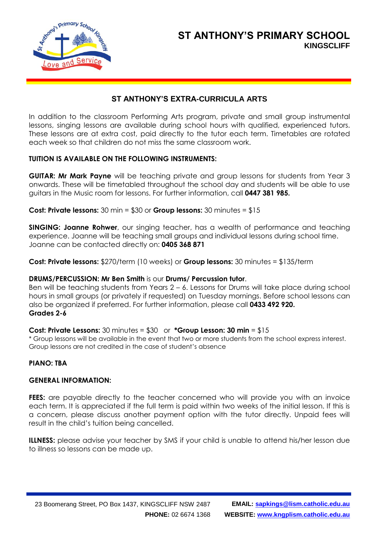

## **ST ANTHONY'S PRIMARY SCHOOL KINGSCLIFF**

## **ST ANTHONY'S EXTRA-CURRICULA ARTS**

In addition to the classroom Performing Arts program, private and small group instrumental lessons, singing lessons are available during school hours with qualified, experienced tutors. These lessons are at extra cost, paid directly to the tutor each term. Timetables are rotated each week so that children do not miss the same classroom work.

#### **TUITION IS AVAILABLE ON THE FOLLOWING INSTRUMENTS:**

**GUITAR: Mr Mark Payne** will be teaching private and group lessons for students from Year 3 onwards. These will be timetabled throughout the school day and students will be able to use guitars in the Music room for lessons. For further information, call **0447 381 985.**

**Cost: Private lessons:** 30 min = \$30 or **Group lessons:** 30 minutes = \$15

**SINGING: Joanne Rohwer**, our singing teacher, has a wealth of performance and teaching experience. Joanne will be teaching small groups and individual lessons during school time. Joanne can be contacted directly on: **0405 368 871**

**Cost: Private lessons:** \$270/term (10 weeks) or **Group lessons:** 30 minutes = \$135/term

#### **DRUMS/PERCUSSION: Mr Ben Smith** is our **Drums/ Percussion tutor**.

Ben will be teaching students from Years 2 – 6. Lessons for Drums will take place during school hours in small groups (or privately if requested) on Tuesday mornings. Before school lessons can also be organized if preferred. For further information, please call **0433 492 920. Grades 2-6**

#### **Cost: Private Lessons:** 30 minutes = \$30 or **\*Group Lesson: 30 min** = \$15

\* Group lessons will be available in the event that two or more students from the school express interest. Group lessons are not credited in the case of student's absence

## **PIANO: TBA**

#### **GENERAL INFORMATION:**

FEES: are payable directly to the teacher concerned who will provide you with an invoice each term. It is appreciated if the full term is paid within two weeks of the initial lesson. If this is a concern, please discuss another payment option with the tutor directly. Unpaid fees will result in the child's tuition being cancelled.

**ILLNESS:** please advise your teacher by SMS if your child is unable to attend his/her lesson due to illness so lessons can be made up.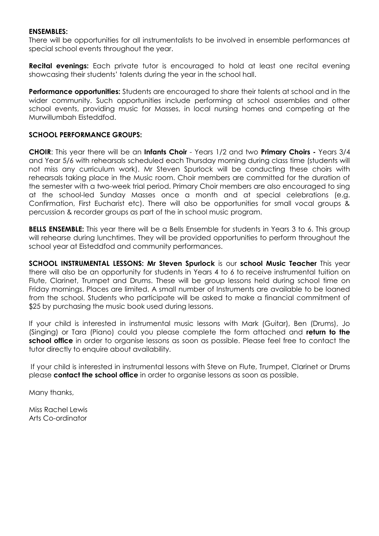#### **ENSEMBLES:**

There will be opportunities for all instrumentalists to be involved in ensemble performances at special school events throughout the year.

**Recital evenings:** Each private tutor is encouraged to hold at least one recital evening showcasing their students' talents during the year in the school hall.

**Performance opportunities:** Students are encouraged to share their talents at school and in the wider community. Such opportunities include performing at school assemblies and other school events, providing music for Masses, in local nursing homes and competing at the Murwillumbah Eisteddfod.

#### **SCHOOL PERFORMANCE GROUPS:**

**CHOIR**: This year there will be an **Infants Choir** - Years 1/2 and two **Primary Choirs -** Years 3/4 and Year 5/6 with rehearsals scheduled each Thursday morning during class time (students will not miss any curriculum work). Mr Steven Spurlock will be conducting these choirs with rehearsals taking place in the Music room. Choir members are committed for the duration of the semester with a two-week trial period. Primary Choir members are also encouraged to sing at the school-led Sunday Masses once a month and at special celebrations (e.g. Confirmation, First Eucharist etc). There will also be opportunities for small vocal groups & percussion & recorder groups as part of the in school music program.

**BELLS ENSEMBLE:** This year there will be a Bells Ensemble for students in Years 3 to 6. This group will rehearse during lunchtimes. They will be provided opportunities to perform throughout the school year at Eisteddfod and community performances.

**SCHOOL INSTRUMENTAL LESSONS: Mr Steven Spurlock** is our **school Music Teacher** This year there will also be an opportunity for students in Years 4 to 6 to receive instrumental tuition on Flute, Clarinet, Trumpet and Drums. These will be group lessons held during school time on Friday mornings. Places are limited. A small number of Instruments are available to be loaned from the school. Students who participate will be asked to make a financial commitment of \$25 by purchasing the music book used during lessons.

If your child is interested in instrumental music lessons with Mark (Guitar), Ben (Drums), Jo (Singing) or Tara (Piano) could you please complete the form attached and **return to the school office** in order to organise lessons as soon as possible. Please feel free to contact the tutor directly to enquire about availability.

If your child is interested in instrumental lessons with Steve on Flute, Trumpet, Clarinet or Drums please **contact the school office** in order to organise lessons as soon as possible.

Many thanks,

Miss Rachel Lewis Arts Co-ordinator